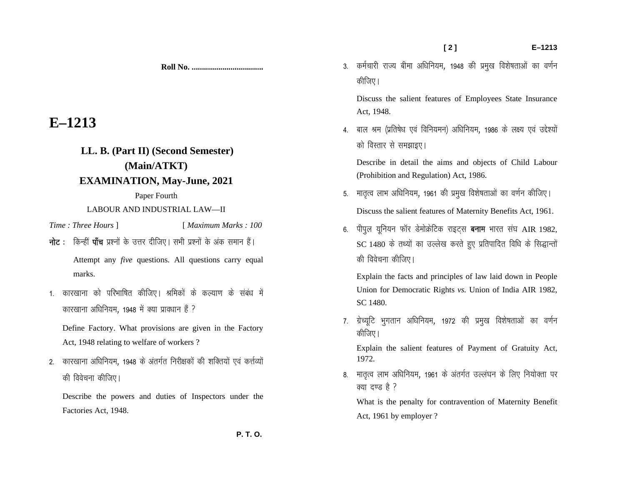**[ 2 ] E–1213** 

Discuss the salient features of Employees State Insurance Act, 1948.

4. बाल श्रम (प्रतिषेध एवं विनियमन) अधिनियम, 1986 के लक्ष्य एवं उद्देश्यों को विस्तार से समझाइए।

Describe in detail the aims and objects of Child Labour (Prohibition and Regulation) Act, 1986.

- 5. मातृत्व लाभ अधिनियम, 1961 की प्रमुख विशेषताओं का वर्णन कीजिए। Discuss the salient features of Maternity Benefits Act, 1961.
- 6. पीपूल यूनियन फॉर डेमोक्रेटिक राइट्स **बनाम** भारत संघ AIR 1982,  $SC$  1480 के तथ्यों का उल्लेख करते हुए प्रतिपादित विधि के सिद्धान्तों की विवेचना कीजिए।

Explain the facts and principles of law laid down in People Union for Democratic Rights *vs.* Union of India AIR 1982, SC 1480.

7. ग्रेच्यूटि भुगतान अधिनियम, 1972 की प्रमुख विशेषताओं का वर्णन कीजिए।

Explain the salient features of Payment of Gratuity Act, 1972.

8. मातृत्व लाभ अधिनियम, 1961 के अंतर्गत उल्लंघन के लिए नियोक्ता पर क्या दण्ड है ?

What is the penalty for contravention of Maternity Benefit Act, 1961 by employer ?

**E–1213** 

**LL. B. (Part II) (Second Semester) (Main/ATKT) EXAMINATION, May-June, 2021**

**Roll No. ...................................** 

Paper Fourth

LABOUR AND INDUSTRIAL LAW—II

*Time : Three Hours* ] [ *Maximum Marks : 100* 

- $\overrightarrow{h}$ ट : किन्हीं पाँच प्रश्नों के उत्तर दीजिए। सभी प्रश्नों के अंक समान हैं। Attempt any *five* questions. All questions carry equal marks.
- 1. कारखाना को परिभाषित कीजिए। श्रमिकों के कल्याण के संबंध में कारखाना अधिनियम, 1948 में क्या प्रावधान हैं ?

Define Factory. What provisions are given in the Factory Act, 1948 relating to welfare of workers ?

2. कारखाना अधिनियम, 1948 के अंतर्गत निरीक्षकों की शक्तियों एवं कर्त्तव्यों की विवेचना कीजिए।

Describe the powers and duties of Inspectors under the Factories Act, 1948.